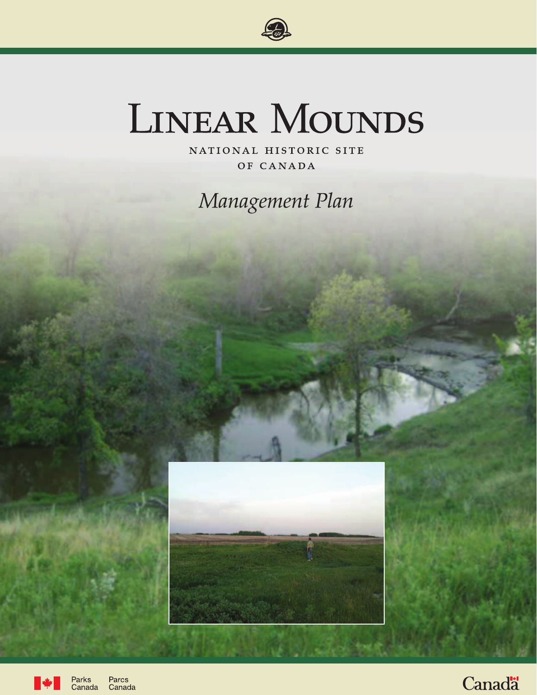

# LINEAR MOUNDS

NATIONAL HISTORIC SITE OF CANADA

Management Plan



Parks<br>Canada Parcs Canada

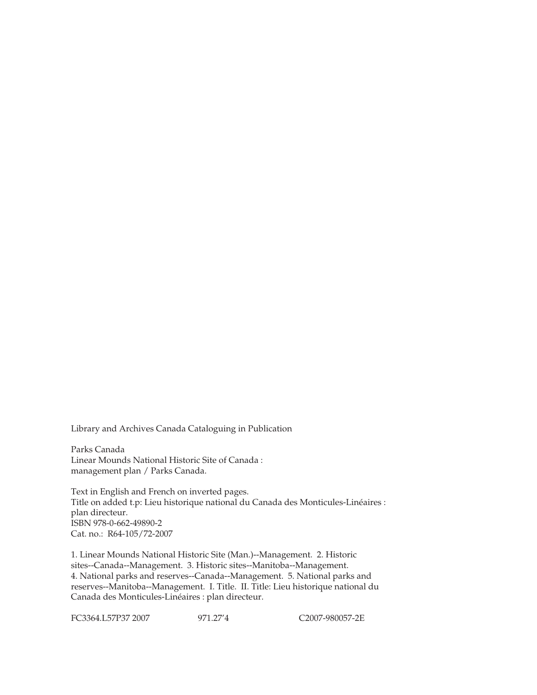Library and Archives Canada Cataloguing in Publication

Parks Canada Linear Mounds National Historic Site of Canada : management plan / Parks Canada.

Text in English and French on inverted pages. Title on added t.p: Lieu historique national du Canada des Monticules-Linéaires : plan directeur. ISBN 978-0-662-49890-2 Cat. no.: R64-105/72-2007

1. Linear Mounds National Historic Site (Man.)--Management. 2. Historic sites--Canada--Management. 3. Historic sites--Manitoba--Management. 4. National parks and reserves--Canada--Management. 5. National parks and reserves--Manitoba--Management. I. Title. II. Title: Lieu historique national du Canada des Monticules-Linéaires : plan directeur.

FC3364.L57P37 2007 971.27'4 C2007-980057-2E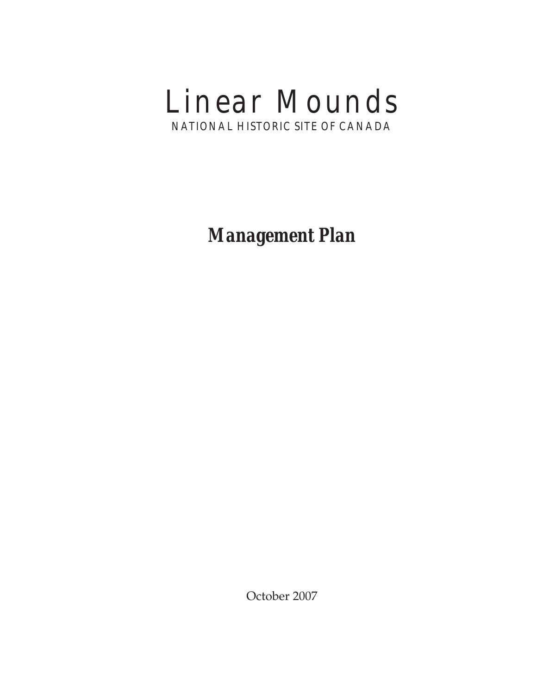# Linear Mounds NATIONAL HISTORIC SITE OF CANADA

*Management Plan*

October 2007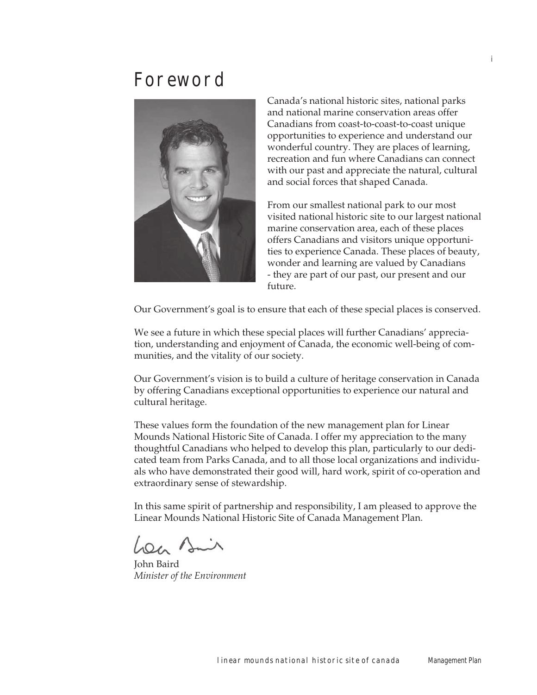## Foreword



Canada's national historic sites, national parks and national marine conservation areas offer Canadians from coast-to-coast-to-coast unique opportunities to experience and understand our wonderful country. They are places of learning, recreation and fun where Canadians can connect with our past and appreciate the natural, cultural and social forces that shaped Canada.

From our smallest national park to our most visited national historic site to our largest national marine conservation area, each of these places offers Canadians and visitors unique opportunities to experience Canada. These places of beauty, wonder and learning are valued by Canadians - they are part of our past, our present and our future.

Our Government's goal is to ensure that each of these special places is conserved.

We see a future in which these special places will further Canadians' appreciation, understanding and enjoyment of Canada, the economic well-being of communities, and the vitality of our society.

Our Government's vision is to build a culture of heritage conservation in Canada by offering Canadians exceptional opportunities to experience our natural and cultural heritage.

These values form the foundation of the new management plan for Linear Mounds National Historic Site of Canada. I offer my appreciation to the many thoughtful Canadians who helped to develop this plan, particularly to our dedicated team from Parks Canada, and to all those local organizations and individuals who have demonstrated their good will, hard work, spirit of co-operation and extraordinary sense of stewardship.

In this same spirit of partnership and responsibility, I am pleased to approve the Linear Mounds National Historic Site of Canada Management Plan.

Lon Bin

John Baird *Minister of the Environment*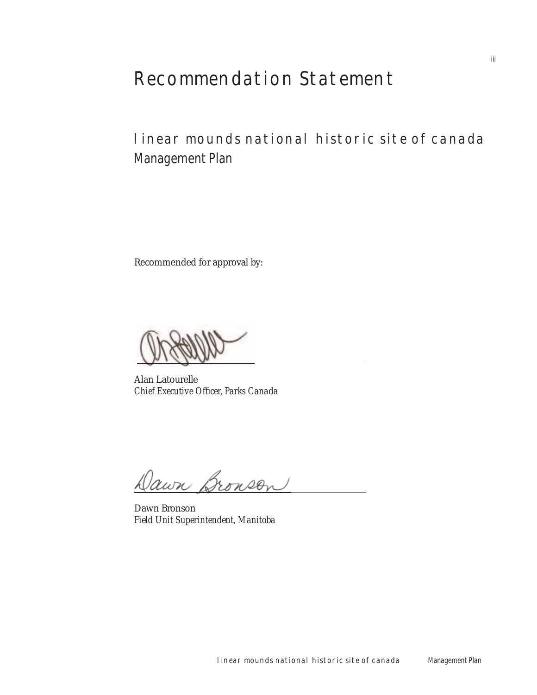# Recommendation Statement

### linear mounds national historic site of canada Management Plan

Recommended for approval by:

Alan Latourelle *Chief Executive Officer, Parks Canada* 

Jawn Bronson

Dawn Bronson *Field Unit Superintendent, Manitoba*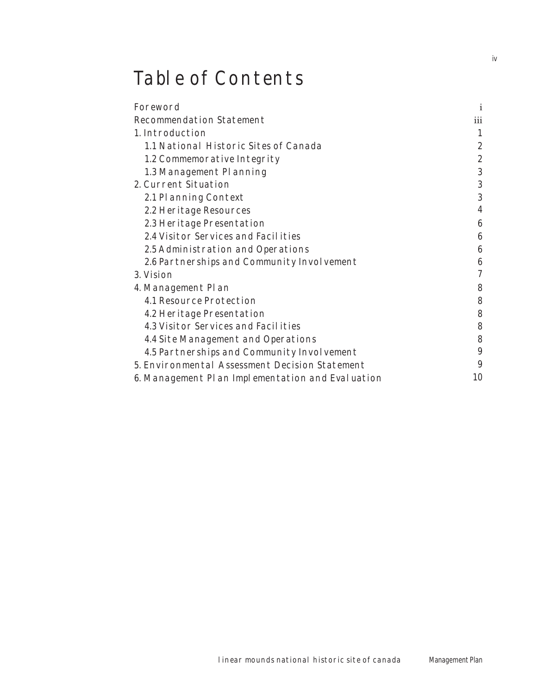# Table of Contents

| Foreword                                         | i                |
|--------------------------------------------------|------------------|
| <b>Recommendation Statement</b>                  | iii              |
| 1. Introduction                                  |                  |
| 1.1 National Historic Sites of Canada            | $\boldsymbol{2}$ |
| 1.2 Commemorative Integrity                      | $\boldsymbol{2}$ |
| 1.3 Management Planning                          | 3                |
| 2. Current Situation                             | 3                |
| 2.1 Planning Context                             | 3                |
| 2.2 Heritage Resources                           |                  |
| 2.3 Heritage Presentation                        | 6                |
| 2.4 Visitor Services and Facilities              | 6                |
| 2.5 Administration and Operations                | 6                |
| 2.6 Partnerships and Community Involvement       | 6                |
| 3. Vision                                        | 7                |
| 4. Management Plan                               | 8                |
| <b>4.1 Resource Protection</b>                   | 8                |
| 4.2 Heritage Presentation                        | 8                |
| 4.3 Visitor Services and Facilities              | 8                |
| 4.4 Site Management and Operations               | 8                |
| 4.5 Partnerships and Community Involvement       | 9                |
| 5. Environmental Assessment Decision Statement   | 9                |
| 6. Management Plan Implementation and Evaluation | 10               |

iv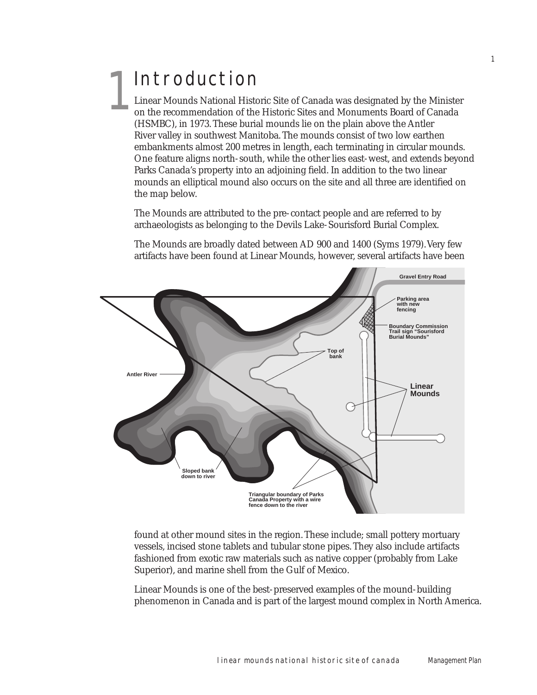# Introduction 1

Linear Mounds National Historic Site of Canada was designated by the Minister on the recommendation of the Historic Sites and Monuments Board of Canada (HSMBC), in 1973. These burial mounds lie on the plain above the Antler River valley in southwest Manitoba. The mounds consist of two low earthen embankments almost 200 metres in length, each terminating in circular mounds. One feature aligns north-south, while the other lies east-west, and extends beyond Parks Canada's property into an adjoining field. In addition to the two linear mounds an elliptical mound also occurs on the site and all three are identified on the map below.

1

The Mounds are attributed to the pre-contact people and are referred to by archaeologists as belonging to the Devils Lake-Sourisford Burial Complex.

The Mounds are broadly dated between AD 900 and 1400 (Syms 1979). Very few artifacts have been found at Linear Mounds, however, several artifacts have been



found at other mound sites in the region. These include; small pottery mortuary vessels, incised stone tablets and tubular stone pipes. They also include artifacts fashioned from exotic raw materials such as native copper (probably from Lake Superior), and marine shell from the Gulf of Mexico.

Linear Mounds is one of the best-preserved examples of the mound-building phenomenon in Canada and is part of the largest mound complex in North America.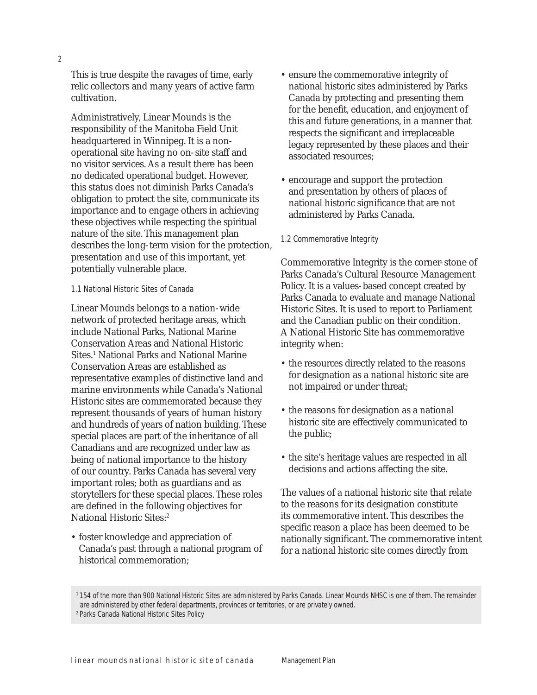This is true despite the ravages of time, early relic collectors and many years of active farm cultivation.

Administratively, Linear Mounds is the responsibility of the Manitoba Field Unit headquartered in Winnipeg. It is a nonoperational site having no on-site staff and no visitor services. As a result there has been no dedicated operational budget. However, this status does not diminish Parks Canada's obligation to protect the site, communicate its importance and to engage others in achieving these objectives while respecting the spiritual nature of the site. This management plan describes the long-term vision for the protection, presentation and use of this important, yet potentially vulnerable place.

#### 1.1 National Historic Sites of Canada

Linear Mounds belongs to a nation-wide network of protected heritage areas, which include National Parks, National Marine Conservation Areas and National Historic Sites.<sup>1</sup> National Parks and National Marine Conservation Areas are established as representative examples of distinctive land and marine environments while Canada's National Historic sites are commemorated because they represent thousands of years of human history and hundreds of years of nation building. These special places are part of the inheritance of all Canadians and are recognized under law as being of national importance to the history of our country. Parks Canada has several very important roles; both as guardians and as storytellers for these special places. These roles are defined in the following objectives for National Historic Sites:<sup>2</sup>

• foster knowledge and appreciation of Canada's past through a national program of historical commemoration;

- ensure the commemorative integrity of national historic sites administered by Parks Canada by protecting and presenting them for the benefit, education, and enjoyment of this and future generations, in a manner that respects the significant and irreplaceable legacy represented by these places and their associated resources;
- encourage and support the protection and presentation by others of places of national historic significance that are not administered by Parks Canada.
- 1.2 Commemorative Integrity

Commemorative Integrity is the corner-stone of Parks Canada's Cultural Resource Management Policy. It is a values-based concept created by Parks Canada to evaluate and manage National Historic Sites. It is used to report to Parliament and the Canadian public on their condition. A National Historic Site has commemorative integrity when:

- the resources directly related to the reasons for designation as a national historic site are not impaired or under threat;
- the reasons for designation as a national historic site are effectively communicated to the public;
- the site's heritage values are respected in all decisions and actions affecting the site.

The values of a national historic site that relate to the reasons for its designation constitute its commemorative intent. This describes the specific reason a place has been deemed to be nationally significant. The commemorative intent for a national historic site comes directly from

<sup>1 154</sup> of the more than 900 National Historic Sites are administered by Parks Canada. Linear Mounds NHSC is one of them. The remainder are administered by other federal departments, provinces or territories, or are privately owned. 2 Parks Canada National Historic Sites Policy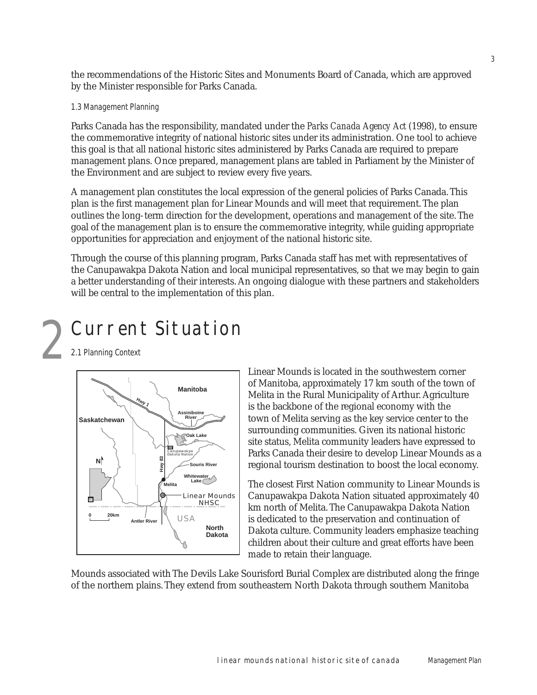the recommendations of the Historic Sites and Monuments Board of Canada, which are approved by the Minister responsible for Parks Canada.

#### 1.3 Management Planning

Parks Canada has the responsibility, mandated under the *Parks Canada Agency Act* (1998), to ensure the commemorative integrity of national historic sites under its administration. One tool to achieve this goal is that all national historic sites administered by Parks Canada are required to prepare management plans. Once prepared, management plans are tabled in Parliament by the Minister of the Environment and are subject to review every five years.

A management plan constitutes the local expression of the general policies of Parks Canada. This plan is the first management plan for Linear Mounds and will meet that requirement. The plan outlines the long-term direction for the development, operations and management of the site. The goal of the management plan is to ensure the commemorative integrity, while guiding appropriate opportunities for appreciation and enjoyment of the national historic site.

Through the course of this planning program, Parks Canada staff has met with representatives of the Canupawakpa Dakota Nation and local municipal representatives, so that we may begin to gain a better understanding of their interests. An ongoing dialogue with these partners and stakeholders will be central to the implementation of this plan.

# Current Situation 2

2.1 Planning Context



Linear Mounds is located in the southwestern corner of Manitoba, approximately 17 km south of the town of Melita in the Rural Municipality of Arthur. Agriculture is the backbone of the regional economy with the town of Melita serving as the key service center to the surrounding communities. Given its national historic site status, Melita community leaders have expressed to Parks Canada their desire to develop Linear Mounds as a regional tourism destination to boost the local economy.

The closest First Nation community to Linear Mounds is Canupawakpa Dakota Nation situated approximately 40 km north of Melita. The Canupawakpa Dakota Nation is dedicated to the preservation and continuation of Dakota culture. Community leaders emphasize teaching children about their culture and great efforts have been made to retain their language.

Mounds associated with The Devils Lake Sourisford Burial Complex are distributed along the fringe of the northern plains. They extend from southeastern North Dakota through southern Manitoba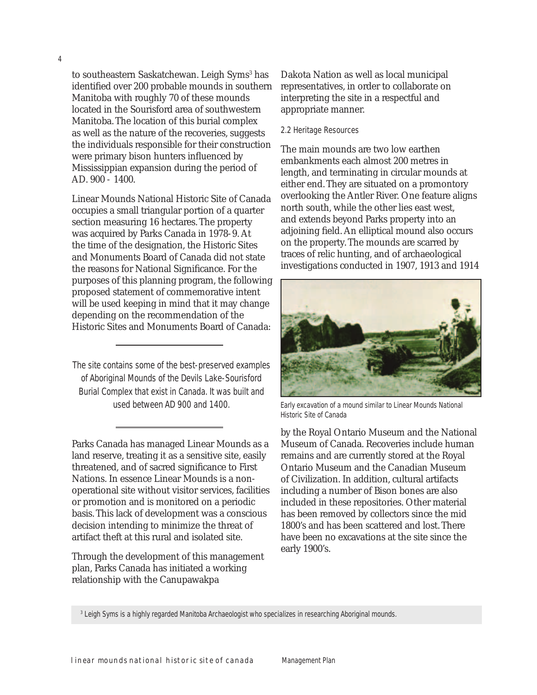to southeastern Saskatchewan. Leigh Syms<sup>3</sup> has identified over 200 probable mounds in southern Manitoba with roughly 70 of these mounds located in the Sourisford area of southwestern Manitoba. The location of this burial complex as well as the nature of the recoveries, suggests the individuals responsible for their construction were primary bison hunters influenced by Mississippian expansion during the period of AD. 900 - 1400.

Linear Mounds National Historic Site of Canada occupies a small triangular portion of a quarter section measuring 16 hectares. The property was acquired by Parks Canada in 1978-9. At the time of the designation, the Historic Sites and Monuments Board of Canada did not state the reasons for National Significance. For the purposes of this planning program, the following proposed statement of commemorative intent will be used keeping in mind that it may change depending on the recommendation of the Historic Sites and Monuments Board of Canada:

The site contains some of the best-preserved examples of Aboriginal Mounds of the Devils Lake-Sourisford Burial Complex that exist in Canada. It was built and

Parks Canada has managed Linear Mounds as a land reserve, treating it as a sensitive site, easily threatened, and of sacred significance to First Nations. In essence Linear Mounds is a nonoperational site without visitor services, facilities or promotion and is monitored on a periodic basis. This lack of development was a conscious decision intending to minimize the threat of artifact theft at this rural and isolated site.

Through the development of this management plan, Parks Canada has initiated a working relationship with the Canupawakpa

Dakota Nation as well as local municipal representatives, in order to collaborate on interpreting the site in a respectful and appropriate manner.

#### 2.2 Heritage Resources

The main mounds are two low earthen embankments each almost 200 metres in length, and terminating in circular mounds at either end. They are situated on a promontory overlooking the Antler River. One feature aligns north south, while the other lies east west, and extends beyond Parks property into an adjoining field. An elliptical mound also occurs on the property. The mounds are scarred by traces of relic hunting, and of archaeological investigations conducted in 1907, 1913 and 1914



used between AD 900 and 1400. Early excavation of a mound similar to Linear Mounds National Historic Site of Canada

by the Royal Ontario Museum and the National Museum of Canada. Recoveries include human remains and are currently stored at the Royal Ontario Museum and the Canadian Museum of Civilization. In addition, cultural artifacts including a number of Bison bones are also included in these repositories. Other material has been removed by collectors since the mid 1800's and has been scattered and lost. There have been no excavations at the site since the early 1900's.

<sup>3</sup> Leigh Syms is a highly regarded Manitoba Archaeologist who specializes in researching Aboriginal mounds.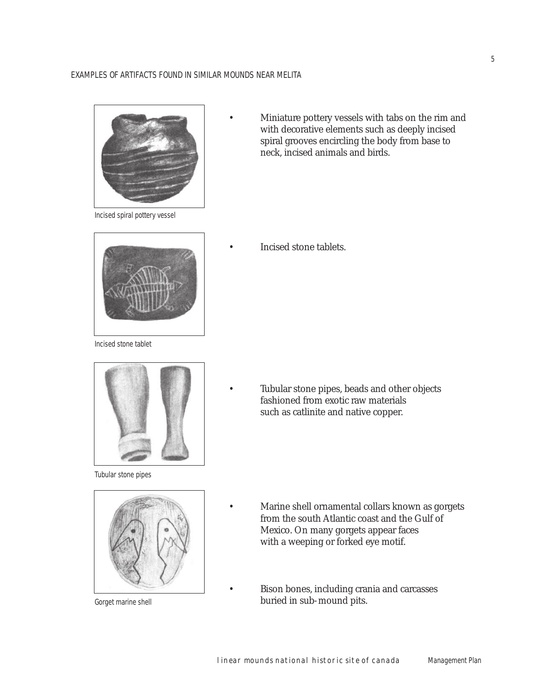#### EXAMPLES OF ARTIFACTS FOUND IN SIMILAR MOUNDS NEAR MELITA



Incised spiral pottery vessel

Incised stone tablet



Tubular stone pipes



Gorget marine shell

 • Miniature pottery vessels with tabs on the rim and with decorative elements such as deeply incised spiral grooves encircling the body from base to neck, incised animals and birds.

• Incised stone tablets.

 • Tubular stone pipes, beads and other objects fashioned from exotic raw materials such as catlinite and native copper.

- Marine shell ornamental collars known as gorgets from the south Atlantic coast and the Gulf of Mexico. On many gorgets appear faces with a weeping or forked eye motif.
- Bison bones, including crania and carcasses buried in sub-mound pits.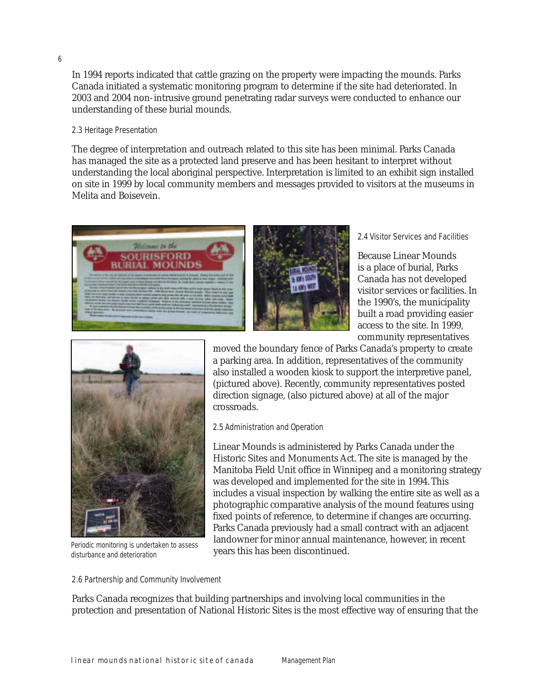In 1994 reports indicated that cattle grazing on the property were impacting the mounds. Parks Canada initiated a systematic monitoring program to determine if the site had deteriorated. In 2003 and 2004 non-intrusive ground penetrating radar surveys were conducted to enhance our understanding of these burial mounds.

#### 2.3 Heritage Presentation

The degree of interpretation and outreach related to this site has been minimal. Parks Canada has managed the site as a protected land preserve and has been hesitant to interpret without understanding the local aboriginal perspective. Interpretation is limited to an exhibit sign installed on site in 1999 by local community members and messages provided to visitors at the museums in Melita and Boisevein.





2.4 Visitor Services and Facilities

Because Linear Mounds is a place of burial, Parks Canada has not developed visitor services or facilities. In the 1990's, the municipality built a road providing easier access to the site. In 1999, community representatives



Periodic monitoring is undertaken to assess disturbance and deterioration

moved the boundary fence of Parks Canada's property to create a parking area. In addition, representatives of the community also installed a wooden kiosk to support the interpretive panel, (pictured above). Recently, community representatives posted direction signage, (also pictured above) at all of the major crossroads.

#### 2.5 Administration and Operation

Linear Mounds is administered by Parks Canada under the Historic Sites and Monuments Act. The site is managed by the Manitoba Field Unit office in Winnipeg and a monitoring strategy was developed and implemented for the site in 1994. This includes a visual inspection by walking the entire site as well as a photographic comparative analysis of the mound features using fixed points of reference, to determine if changes are occurring. Parks Canada previously had a small contract with an adjacent landowner for minor annual maintenance, however, in recent years this has been discontinued.

#### 2.6 Partnership and Community Involvement

Parks Canada recognizes that building partnerships and involving local communities in the protection and presentation of National Historic Sites is the most effective way of ensuring that the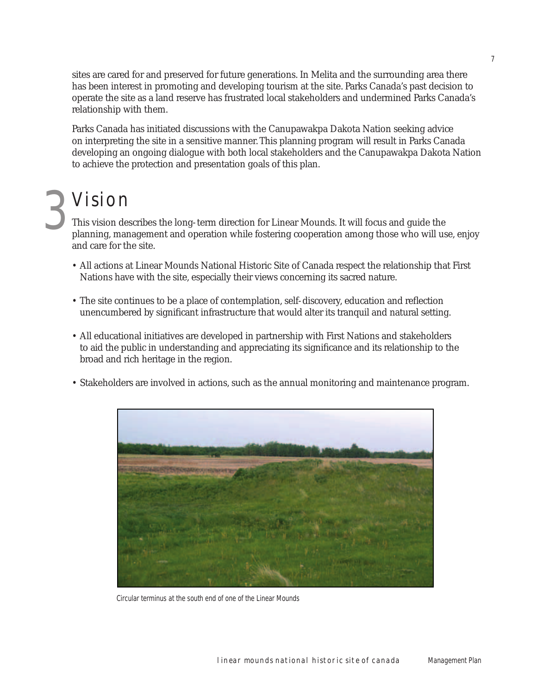sites are cared for and preserved for future generations. In Melita and the surrounding area there has been interest in promoting and developing tourism at the site. Parks Canada's past decision to operate the site as a land reserve has frustrated local stakeholders and undermined Parks Canada's relationship with them.

Parks Canada has initiated discussions with the Canupawakpa Dakota Nation seeking advice on interpreting the site in a sensitive manner. This planning program will result in Parks Canada developing an ongoing dialogue with both local stakeholders and the Canupawakpa Dakota Nation to achieve the protection and presentation goals of this plan.

# 3 Vision

This vision describes the long-term direction for Linear Mounds. It will focus and guide the planning, management and operation while fostering cooperation among those who will use, enjoy and care for the site.

- All actions at Linear Mounds National Historic Site of Canada respect the relationship that First Nations have with the site, especially their views concerning its sacred nature.
- The site continues to be a place of contemplation, self-discovery, education and reflection unencumbered by significant infrastructure that would alter its tranquil and natural setting.
- All educational initiatives are developed in partnership with First Nations and stakeholders to aid the public in understanding and appreciating its significance and its relationship to the broad and rich heritage in the region.
- Stakeholders are involved in actions, such as the annual monitoring and maintenance program.



Circular terminus at the south end of one of the Linear Mounds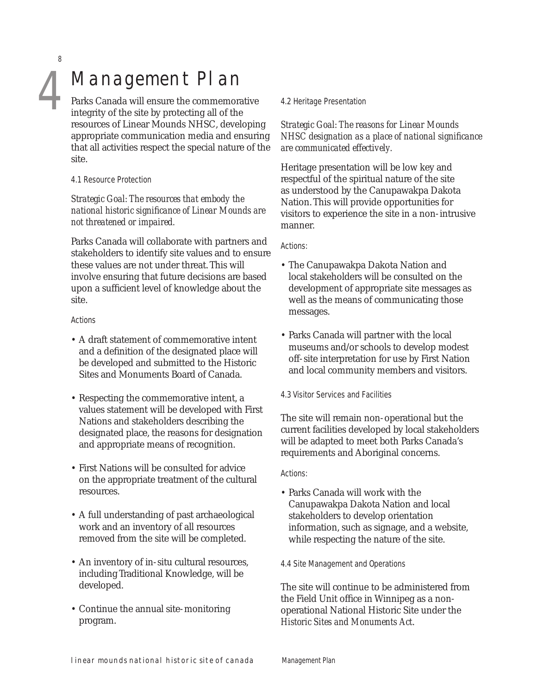8

# Management Plan

Parks Canada will ensure the commemorative integrity of the site by protecting all of the resources of Linear Mounds NHSC, developing appropriate communication media and ensuring that all activities respect the special nature of the site.

#### 4.1 Resource Protection

*Strategic Goal: The resources that embody the national historic signifi cance of Linear Mounds are not threatened or impaired.*

Parks Canada will collaborate with partners and stakeholders to identify site values and to ensure these values are not under threat. This will involve ensuring that future decisions are based upon a sufficient level of knowledge about the site.

#### Actions

- A draft statement of commemorative intent and a definition of the designated place will be developed and submitted to the Historic Sites and Monuments Board of Canada.
- Respecting the commemorative intent, a values statement will be developed with First Nations and stakeholders describing the designated place, the reasons for designation and appropriate means of recognition.
- First Nations will be consulted for advice on the appropriate treatment of the cultural resources.
- A full understanding of past archaeological work and an inventory of all resources removed from the site will be completed.
- An inventory of in-situ cultural resources, including Traditional Knowledge, will be developed.
- Continue the annual site-monitoring program.

#### 4.2 Heritage Presentation

*Strategic Goal: The reasons for Linear Mounds NHSC designation as a place of national significance are communicated effectively.*

Heritage presentation will be low key and respectful of the spiritual nature of the site as understood by the Canupawakpa Dakota Nation. This will provide opportunities for visitors to experience the site in a non-intrusive manner.

#### Actions:

- The Canupawakpa Dakota Nation and local stakeholders will be consulted on the development of appropriate site messages as well as the means of communicating those messages.
- Parks Canada will partner with the local museums and/or schools to develop modest off-site interpretation for use by First Nation and local community members and visitors.
- 4.3 Visitor Services and Facilities

The site will remain non-operational but the current facilities developed by local stakeholders will be adapted to meet both Parks Canada's requirements and Aboriginal concerns.

#### Actions:

• Parks Canada will work with the Canupawakpa Dakota Nation and local stakeholders to develop orientation information, such as signage, and a website, while respecting the nature of the site.

#### 4.4 Site Management and Operations

The site will continue to be administered from the Field Unit office in Winnipeg as a nonoperational National Historic Site under the *Historic Sites and Monuments Act*.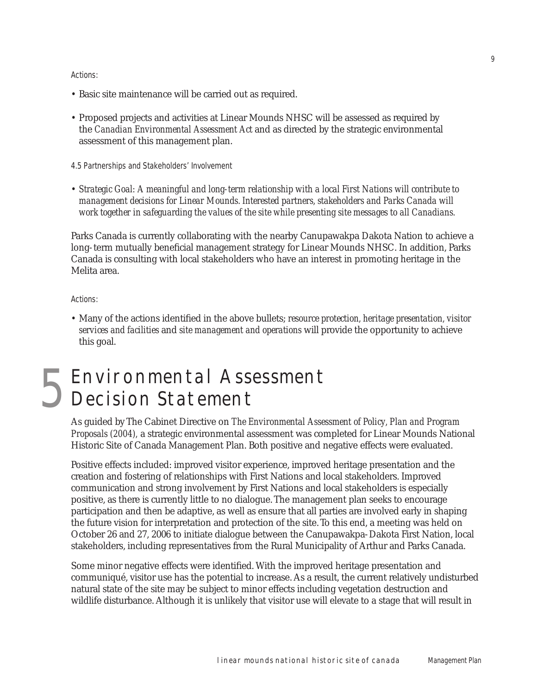#### Actions:

- Basic site maintenance will be carried out as required.
- Proposed projects and activities at Linear Mounds NHSC will be assessed as required by the *Canadian Environmental Assessment Act* and as directed by the strategic environmental assessment of this management plan.

4.5 Partnerships and Stakeholders' Involvement

• *Strategic Goal: A meaningful and long-term relationship with a local First Nations will contribute to management decisions for Linear Mounds. Interested partners, stakeholders and Parks Canada will work together in safeguarding the values of the site while presenting site messages to all Canadians.*

Parks Canada is currently collaborating with the nearby Canupawakpa Dakota Nation to achieve a long-term mutually beneficial management strategy for Linear Mounds NHSC. In addition, Parks Canada is consulting with local stakeholders who have an interest in promoting heritage in the Melita area.

Actions:

• Many of the actions identified in the above bullets; *resource protection, heritage presentation, visitor services and facilities* and *site management and operations* will provide the opportunity to achieve this goal.

## Environmental Assessment Decision Statement 5

As guided by The Cabinet Directive on *The Environmental Assessment of Policy, Plan and Program Proposals (2004),* a strategic environmental assessment was completed for Linear Mounds National Historic Site of Canada Management Plan. Both positive and negative effects were evaluated.

Positive effects included: improved visitor experience, improved heritage presentation and the creation and fostering of relationships with First Nations and local stakeholders. Improved communication and strong involvement by First Nations and local stakeholders is especially positive, as there is currently little to no dialogue. The management plan seeks to encourage participation and then be adaptive, as well as ensure that all parties are involved early in shaping the future vision for interpretation and protection of the site. To this end, a meeting was held on October 26 and 27, 2006 to initiate dialogue between the Canupawakpa-Dakota First Nation, local stakeholders, including representatives from the Rural Municipality of Arthur and Parks Canada.

Some minor negative effects were identified. With the improved heritage presentation and communiqué, visitor use has the potential to increase. As a result, the current relatively undisturbed natural state of the site may be subject to minor effects including vegetation destruction and wildlife disturbance. Although it is unlikely that visitor use will elevate to a stage that will result in